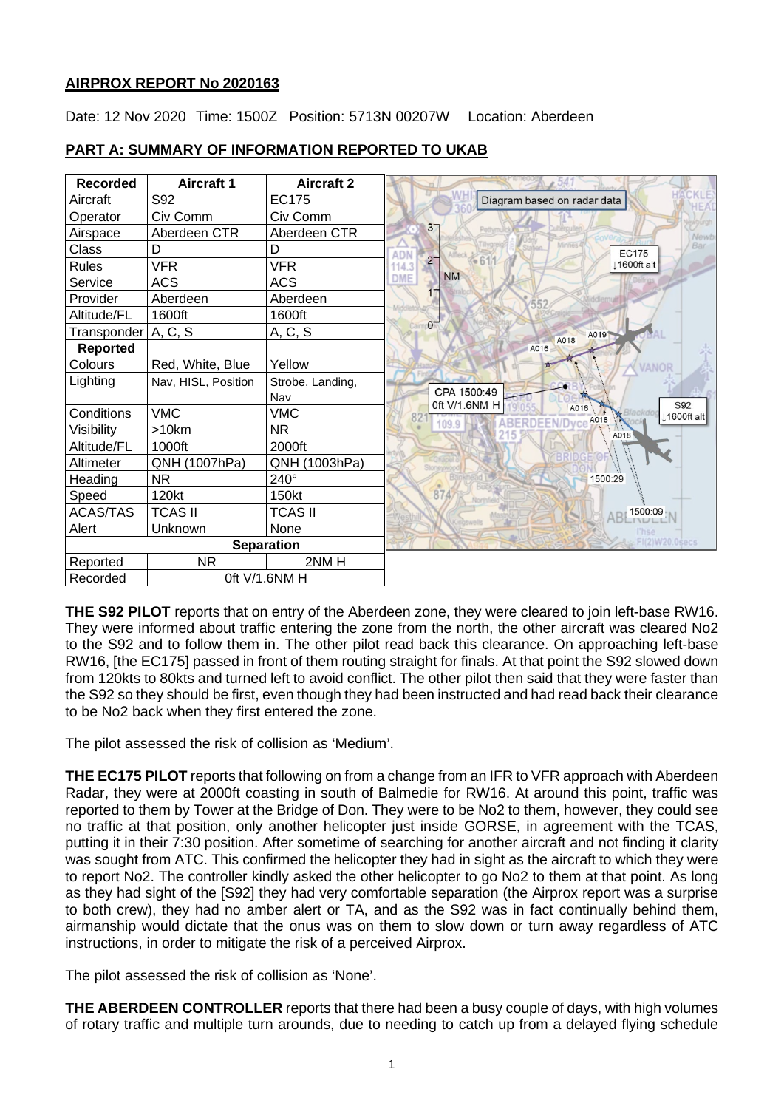## **AIRPROX REPORT No 2020163**

Date: 12 Nov 2020 Time: 1500Z Position: 5713N 00207W Location: Aberdeen



## **PART A: SUMMARY OF INFORMATION REPORTED TO UKAB**

**THE S92 PILOT** reports that on entry of the Aberdeen zone, they were cleared to join left-base RW16. They were informed about traffic entering the zone from the north, the other aircraft was cleared No2 to the S92 and to follow them in. The other pilot read back this clearance. On approaching left-base RW16, [the EC175] passed in front of them routing straight for finals. At that point the S92 slowed down from 120kts to 80kts and turned left to avoid conflict. The other pilot then said that they were faster than the S92 so they should be first, even though they had been instructed and had read back their clearance to be No2 back when they first entered the zone.

The pilot assessed the risk of collision as 'Medium'.

**THE EC175 PILOT** reports that following on from a change from an IFR to VFR approach with Aberdeen Radar, they were at 2000ft coasting in south of Balmedie for RW16. At around this point, traffic was reported to them by Tower at the Bridge of Don. They were to be No2 to them, however, they could see no traffic at that position, only another helicopter just inside GORSE, in agreement with the TCAS, putting it in their 7:30 position. After sometime of searching for another aircraft and not finding it clarity was sought from ATC. This confirmed the helicopter they had in sight as the aircraft to which they were to report No2. The controller kindly asked the other helicopter to go No2 to them at that point. As long as they had sight of the [S92] they had very comfortable separation (the Airprox report was a surprise to both crew), they had no amber alert or TA, and as the S92 was in fact continually behind them, airmanship would dictate that the onus was on them to slow down or turn away regardless of ATC instructions, in order to mitigate the risk of a perceived Airprox.

The pilot assessed the risk of collision as 'None'.

**THE ABERDEEN CONTROLLER** reports that there had been a busy couple of days, with high volumes of rotary traffic and multiple turn arounds, due to needing to catch up from a delayed flying schedule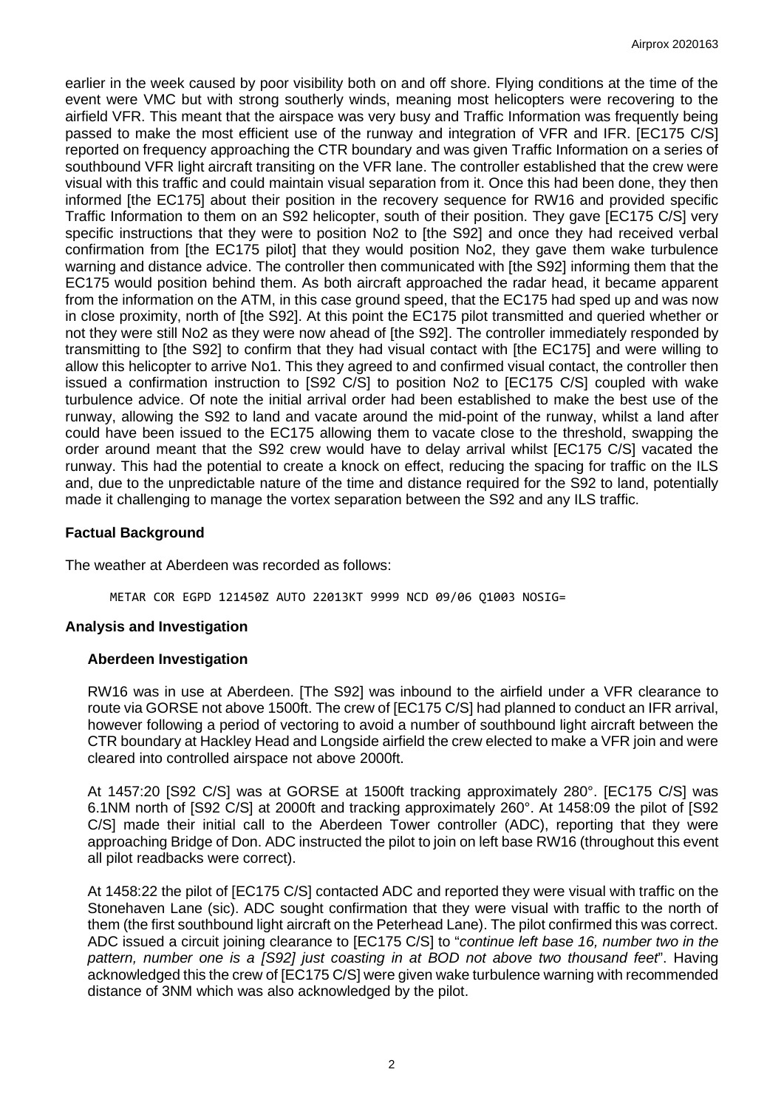earlier in the week caused by poor visibility both on and off shore. Flying conditions at the time of the event were VMC but with strong southerly winds, meaning most helicopters were recovering to the airfield VFR. This meant that the airspace was very busy and Traffic Information was frequently being passed to make the most efficient use of the runway and integration of VFR and IFR. [EC175 C/S] reported on frequency approaching the CTR boundary and was given Traffic Information on a series of southbound VFR light aircraft transiting on the VFR lane. The controller established that the crew were visual with this traffic and could maintain visual separation from it. Once this had been done, they then informed [the EC175] about their position in the recovery sequence for RW16 and provided specific Traffic Information to them on an S92 helicopter, south of their position. They gave [EC175 C/S] very specific instructions that they were to position No2 to [the S92] and once they had received verbal confirmation from [the EC175 pilot] that they would position No2, they gave them wake turbulence warning and distance advice. The controller then communicated with [the S92] informing them that the EC175 would position behind them. As both aircraft approached the radar head, it became apparent from the information on the ATM, in this case ground speed, that the EC175 had sped up and was now in close proximity, north of [the S92]. At this point the EC175 pilot transmitted and queried whether or not they were still No2 as they were now ahead of [the S92]. The controller immediately responded by transmitting to [the S92] to confirm that they had visual contact with [the EC175] and were willing to allow this helicopter to arrive No1. This they agreed to and confirmed visual contact, the controller then issued a confirmation instruction to [S92 C/S] to position No2 to [EC175 C/S] coupled with wake turbulence advice. Of note the initial arrival order had been established to make the best use of the runway, allowing the S92 to land and vacate around the mid-point of the runway, whilst a land after could have been issued to the EC175 allowing them to vacate close to the threshold, swapping the order around meant that the S92 crew would have to delay arrival whilst [EC175 C/S] vacated the runway. This had the potential to create a knock on effect, reducing the spacing for traffic on the ILS and, due to the unpredictable nature of the time and distance required for the S92 to land, potentially made it challenging to manage the vortex separation between the S92 and any ILS traffic.

## **Factual Background**

The weather at Aberdeen was recorded as follows:

METAR COR EGPD 121450Z AUTO 22013KT 9999 NCD 09/06 Q1003 NOSIG=

## **Analysis and Investigation**

## **Aberdeen Investigation**

RW16 was in use at Aberdeen. [The S92] was inbound to the airfield under a VFR clearance to route via GORSE not above 1500ft. The crew of [EC175 C/S] had planned to conduct an IFR arrival, however following a period of vectoring to avoid a number of southbound light aircraft between the CTR boundary at Hackley Head and Longside airfield the crew elected to make a VFR join and were cleared into controlled airspace not above 2000ft.

At 1457:20 [S92 C/S] was at GORSE at 1500ft tracking approximately 280°. [EC175 C/S] was 6.1NM north of [S92 C/S] at 2000ft and tracking approximately 260°. At 1458:09 the pilot of [S92 C/S] made their initial call to the Aberdeen Tower controller (ADC), reporting that they were approaching Bridge of Don. ADC instructed the pilot to join on left base RW16 (throughout this event all pilot readbacks were correct).

At 1458:22 the pilot of [EC175 C/S] contacted ADC and reported they were visual with traffic on the Stonehaven Lane (sic). ADC sought confirmation that they were visual with traffic to the north of them (the first southbound light aircraft on the Peterhead Lane). The pilot confirmed this was correct. ADC issued a circuit joining clearance to [EC175 C/S] to "*continue left base 16, number two in the pattern, number one is a [S92] just coasting in at BOD not above two thousand feet*". Having acknowledged this the crew of [EC175 C/S] were given wake turbulence warning with recommended distance of 3NM which was also acknowledged by the pilot.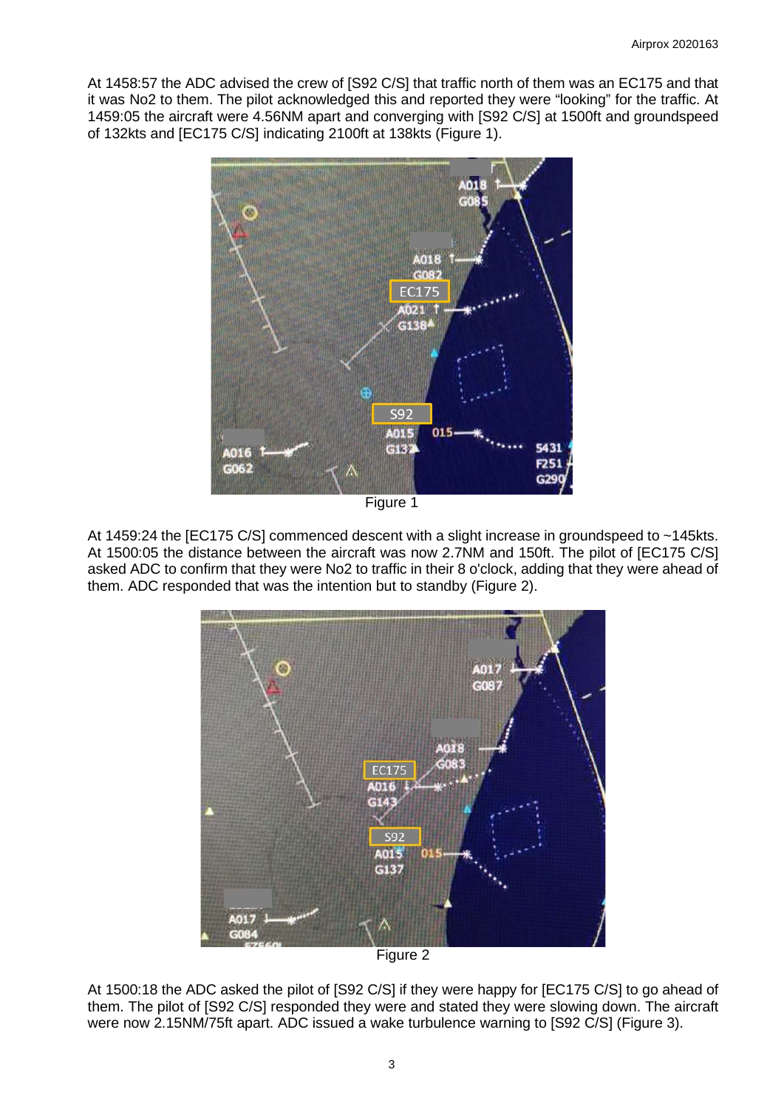At 1458:57 the ADC advised the crew of [S92 C/S] that traffic north of them was an EC175 and that it was No2 to them. The pilot acknowledged this and reported they were "looking" for the traffic. At 1459:05 the aircraft were 4.56NM apart and converging with [S92 C/S] at 1500ft and groundspeed of 132kts and [EC175 C/S] indicating 2100ft at 138kts (Figure 1).



At 1459:24 the [EC175 C/S] commenced descent with a slight increase in groundspeed to ~145kts. At 1500:05 the distance between the aircraft was now 2.7NM and 150ft. The pilot of [EC175 C/S] asked ADC to confirm that they were No2 to traffic in their 8 o'clock, adding that they were ahead of them. ADC responded that was the intention but to standby (Figure 2).



Figure 2

At 1500:18 the ADC asked the pilot of [S92 C/S] if they were happy for [EC175 C/S] to go ahead of them. The pilot of [S92 C/S] responded they were and stated they were slowing down. The aircraft were now 2.15NM/75ft apart. ADC issued a wake turbulence warning to [S92 C/S] (Figure 3).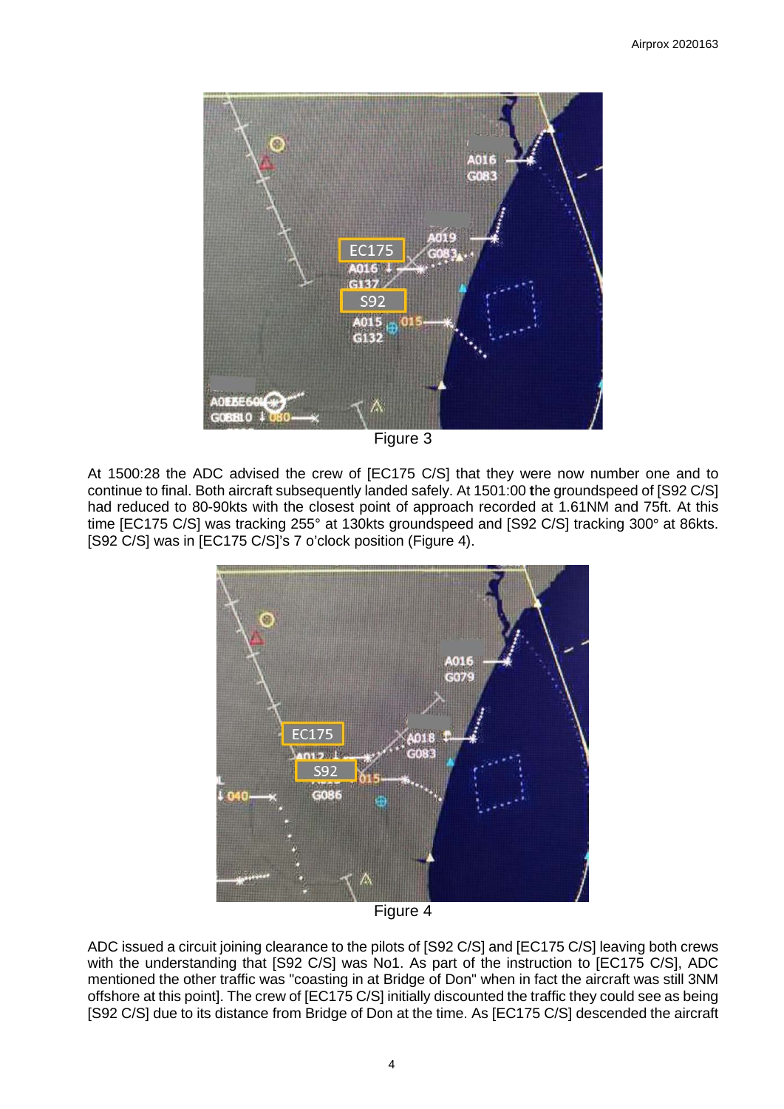

Figure 3

At 1500:28 the ADC advised the crew of [EC175 C/S] that they were now number one and to continue to final. Both aircraft subsequently landed safely. At 1501:00 **t**he groundspeed of [S92 C/S] had reduced to 80-90kts with the closest point of approach recorded at 1.61NM and 75ft. At this time [EC175 C/S] was tracking 255° at 130kts groundspeed and [S92 C/S] tracking 300° at 86kts. [S92 C/S] was in [EC175 C/S]'s 7 o'clock position (Figure 4).



Figure 4

ADC issued a circuit joining clearance to the pilots of [S92 C/S] and [EC175 C/S] leaving both crews with the understanding that [S92 C/S] was No1. As part of the instruction to [EC175 C/S], ADC mentioned the other traffic was "coasting in at Bridge of Don" when in fact the aircraft was still 3NM offshore at this point]. The crew of [EC175 C/S] initially discounted the traffic they could see as being [S92 C/S] due to its distance from Bridge of Don at the time. As [EC175 C/S] descended the aircraft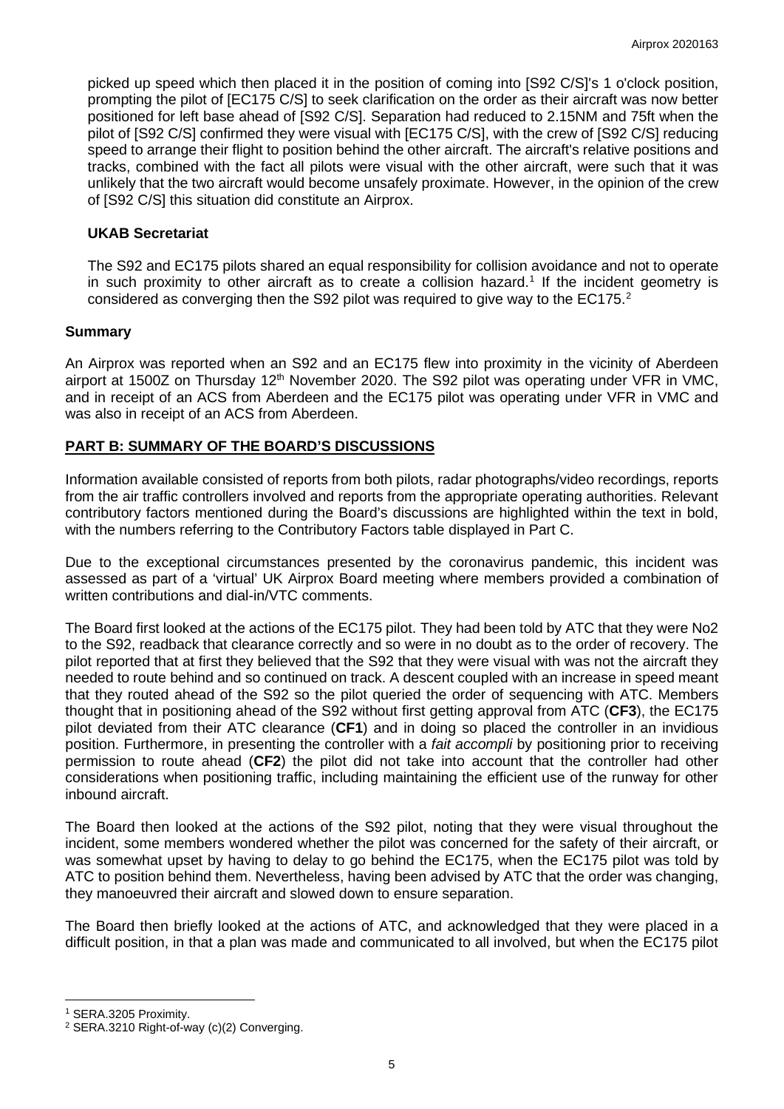picked up speed which then placed it in the position of coming into [S92 C/S]'s 1 o'clock position, prompting the pilot of [EC175 C/S] to seek clarification on the order as their aircraft was now better positioned for left base ahead of [S92 C/S]. Separation had reduced to 2.15NM and 75ft when the pilot of [S92 C/S] confirmed they were visual with [EC175 C/S], with the crew of [S92 C/S] reducing speed to arrange their flight to position behind the other aircraft. The aircraft's relative positions and tracks, combined with the fact all pilots were visual with the other aircraft, were such that it was unlikely that the two aircraft would become unsafely proximate. However, in the opinion of the crew of [S92 C/S] this situation did constitute an Airprox.

## **UKAB Secretariat**

The S92 and EC175 pilots shared an equal responsibility for collision avoidance and not to operate in such proximity to other aircraft as to create a collision hazard. [1](#page-4-0) If the incident geometry is considered as converging then the S9[2](#page-4-1) pilot was required to give way to the EC175. $^2$ 

## **Summary**

An Airprox was reported when an S92 and an EC175 flew into proximity in the vicinity of Aberdeen airport at 1500Z on Thursday 12<sup>th</sup> November 2020. The S92 pilot was operating under VFR in VMC, and in receipt of an ACS from Aberdeen and the EC175 pilot was operating under VFR in VMC and was also in receipt of an ACS from Aberdeen.

## **PART B: SUMMARY OF THE BOARD'S DISCUSSIONS**

Information available consisted of reports from both pilots, radar photographs/video recordings, reports from the air traffic controllers involved and reports from the appropriate operating authorities. Relevant contributory factors mentioned during the Board's discussions are highlighted within the text in bold, with the numbers referring to the Contributory Factors table displayed in Part C.

Due to the exceptional circumstances presented by the coronavirus pandemic, this incident was assessed as part of a 'virtual' UK Airprox Board meeting where members provided a combination of written contributions and dial-in/VTC comments.

The Board first looked at the actions of the EC175 pilot. They had been told by ATC that they were No2 to the S92, readback that clearance correctly and so were in no doubt as to the order of recovery. The pilot reported that at first they believed that the S92 that they were visual with was not the aircraft they needed to route behind and so continued on track. A descent coupled with an increase in speed meant that they routed ahead of the S92 so the pilot queried the order of sequencing with ATC. Members thought that in positioning ahead of the S92 without first getting approval from ATC (**CF3**), the EC175 pilot deviated from their ATC clearance (**CF1**) and in doing so placed the controller in an invidious position. Furthermore, in presenting the controller with a *fait accompli* by positioning prior to receiving permission to route ahead (**CF2**) the pilot did not take into account that the controller had other considerations when positioning traffic, including maintaining the efficient use of the runway for other inbound aircraft.

The Board then looked at the actions of the S92 pilot, noting that they were visual throughout the incident, some members wondered whether the pilot was concerned for the safety of their aircraft, or was somewhat upset by having to delay to go behind the EC175, when the EC175 pilot was told by ATC to position behind them. Nevertheless, having been advised by ATC that the order was changing, they manoeuvred their aircraft and slowed down to ensure separation.

The Board then briefly looked at the actions of ATC, and acknowledged that they were placed in a difficult position, in that a plan was made and communicated to all involved, but when the EC175 pilot

<span id="page-4-0"></span><sup>1</sup> SERA.3205 Proximity.

<span id="page-4-1"></span><sup>&</sup>lt;sup>2</sup> SERA.3210 Right-of-way (c)(2) Converging.